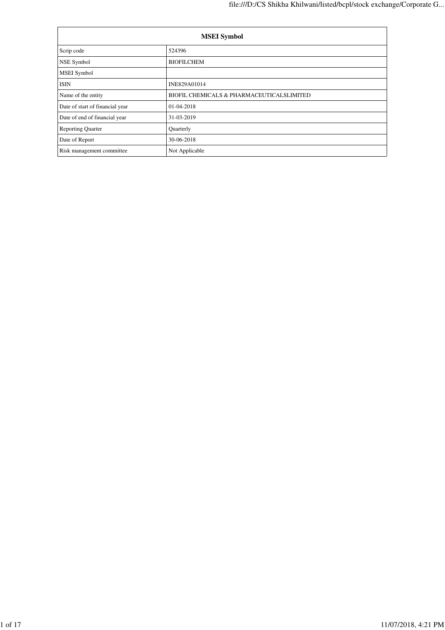| <b>MSEI</b> Symbol              |                                           |  |  |  |  |
|---------------------------------|-------------------------------------------|--|--|--|--|
| Scrip code                      | 524396                                    |  |  |  |  |
| NSE Symbol                      | <b>BIOFILCHEM</b>                         |  |  |  |  |
| MSEI Symbol                     |                                           |  |  |  |  |
| ISIN                            | INE829A01014                              |  |  |  |  |
| Name of the entity              | BIOFIL CHEMICALS & PHARMACEUTICALSLIMITED |  |  |  |  |
| Date of start of financial year | 01-04-2018                                |  |  |  |  |
| Date of end of financial year   | 31-03-2019                                |  |  |  |  |
| <b>Reporting Quarter</b>        | Quarterly                                 |  |  |  |  |
| Date of Report                  | 30-06-2018                                |  |  |  |  |
| Risk management committee       | Not Applicable                            |  |  |  |  |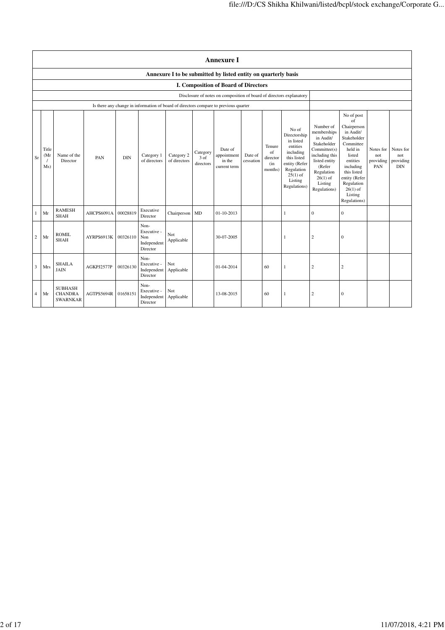|                | <b>Annexure I</b>                                              |                                                     |            |            |                                                       |                            |                               |                                                                                      |                      |                                            |                                                                                                                                                    |                                                                                                                                                                          |                                                                                                                                                                                                               |                                      |                                      |
|----------------|----------------------------------------------------------------|-----------------------------------------------------|------------|------------|-------------------------------------------------------|----------------------------|-------------------------------|--------------------------------------------------------------------------------------|----------------------|--------------------------------------------|----------------------------------------------------------------------------------------------------------------------------------------------------|--------------------------------------------------------------------------------------------------------------------------------------------------------------------------|---------------------------------------------------------------------------------------------------------------------------------------------------------------------------------------------------------------|--------------------------------------|--------------------------------------|
|                | Annexure I to be submitted by listed entity on quarterly basis |                                                     |            |            |                                                       |                            |                               |                                                                                      |                      |                                            |                                                                                                                                                    |                                                                                                                                                                          |                                                                                                                                                                                                               |                                      |                                      |
|                |                                                                |                                                     |            |            |                                                       |                            |                               | I. Composition of Board of Directors                                                 |                      |                                            |                                                                                                                                                    |                                                                                                                                                                          |                                                                                                                                                                                                               |                                      |                                      |
|                |                                                                |                                                     |            |            |                                                       |                            |                               | Disclosure of notes on composition of board of directors explanatory                 |                      |                                            |                                                                                                                                                    |                                                                                                                                                                          |                                                                                                                                                                                                               |                                      |                                      |
|                |                                                                |                                                     |            |            |                                                       |                            |                               | Is there any change in information of board of directors compare to previous quarter |                      |                                            |                                                                                                                                                    |                                                                                                                                                                          |                                                                                                                                                                                                               |                                      |                                      |
| Sr             | Title<br>(Mr<br>Ms)                                            | Name of the<br>Director                             | PAN        | <b>DIN</b> | Category 1<br>of directors                            | Category 2<br>of directors | Category<br>3 of<br>directors | Date of<br>appointment<br>in the<br>current term                                     | Date of<br>cessation | Tenure<br>of<br>director<br>(in<br>months) | No of<br>Directorship<br>in listed<br>entities<br>including<br>this listed<br>entity (Refer<br>Regulation<br>$25(1)$ of<br>Listing<br>Regulations) | Number of<br>memberships<br>in Audit/<br>Stakeholder<br>Committee(s)<br>including this<br>listed entity<br>(Refer<br>Regulation<br>$26(1)$ of<br>Listing<br>Regulations) | No of post<br>of<br>Chairperson<br>in Audit/<br>Stakeholder<br>Committee<br>held in<br>listed<br>entities<br>including<br>this listed<br>entity (Refer<br>Regulation<br>$26(1)$ of<br>Listing<br>Regulations) | Notes for<br>not<br>providing<br>PAN | Notes for<br>not<br>providing<br>DIN |
| $\mathbf{1}$   | Mr                                                             | <b>RAMESH</b><br><b>SHAH</b>                        | AHCPS6091A | 00028819   | Executive<br>Director                                 | Chairperson MD             |                               | $01 - 10 - 2013$                                                                     |                      |                                            | 1                                                                                                                                                  | $\mathbf{0}$                                                                                                                                                             | $\boldsymbol{0}$                                                                                                                                                                                              |                                      |                                      |
| $\overline{c}$ | Mr                                                             | <b>ROMIL</b><br><b>SHAH</b>                         | AYRPS6913K | 00326110   | Non-<br>Executive -<br>Non<br>Independent<br>Director | Not<br>Applicable          |                               | 30-07-2005                                                                           |                      |                                            | 1                                                                                                                                                  | $\overline{c}$                                                                                                                                                           | $\boldsymbol{0}$                                                                                                                                                                                              |                                      |                                      |
| 3              | Mrs                                                            | <b>SHAILA</b><br><b>JAIN</b>                        | AGKPJ2577P | 00326130   | Non-<br>Executive -<br>Independent<br>Director        | Not<br>Applicable          |                               | 01-04-2014                                                                           |                      | 60                                         | 1                                                                                                                                                  | $\overline{c}$                                                                                                                                                           | $\overline{c}$                                                                                                                                                                                                |                                      |                                      |
| $\overline{4}$ | Mr                                                             | <b>SUBHASH</b><br><b>CHANDRA</b><br><b>SWARNKAR</b> | AGTPS5694R | 01658151   | Non-<br>Executive -<br>Independent<br>Director        | Not<br>Applicable          |                               | 13-08-2015                                                                           |                      | 60                                         | 1                                                                                                                                                  | $\overline{c}$                                                                                                                                                           | $\mathbf{0}$                                                                                                                                                                                                  |                                      |                                      |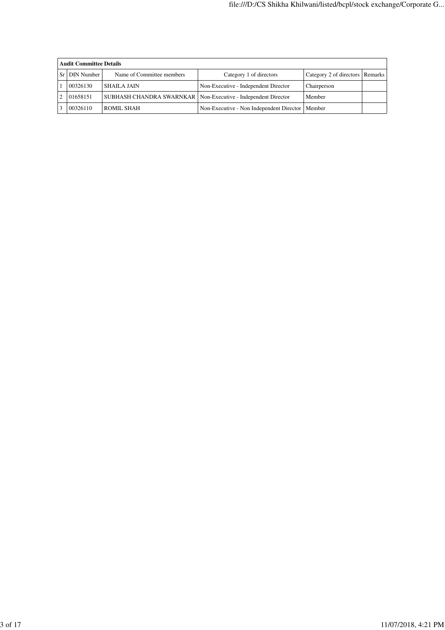|    | <b>Audit Committee Details</b> |                                                                 |                                          |                                 |  |  |  |  |  |
|----|--------------------------------|-----------------------------------------------------------------|------------------------------------------|---------------------------------|--|--|--|--|--|
| Sr | <b>DIN</b> Number              | Name of Committee members                                       | Category 1 of directors                  | Category 2 of directors Remarks |  |  |  |  |  |
|    | 00326130                       | <b>SHAILA JAIN</b>                                              | Non-Executive - Independent Director     | Chairperson                     |  |  |  |  |  |
|    | 01658151                       | SUBHASH CHANDRA SWARNKAR   Non-Executive - Independent Director |                                          | Member                          |  |  |  |  |  |
|    | 00326110                       | ROMIL SHAH                                                      | Non-Executive - Non Independent Director | Member                          |  |  |  |  |  |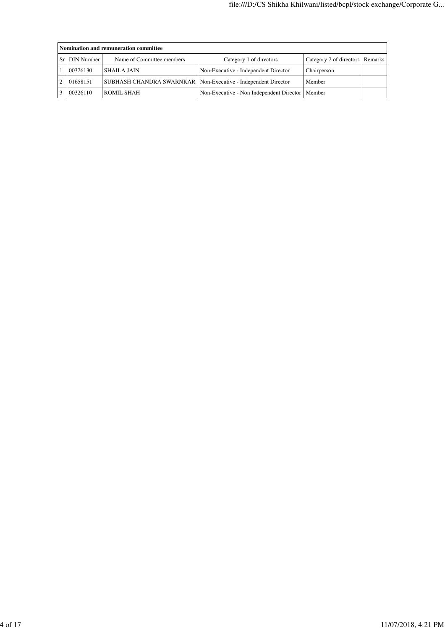| Nomination and remuneration committee |                                                                 |                                                   |                                   |  |  |  |  |  |  |  |
|---------------------------------------|-----------------------------------------------------------------|---------------------------------------------------|-----------------------------------|--|--|--|--|--|--|--|
| <b>DIN Number</b><br>Sr <sub>1</sub>  | Name of Committee members                                       | Category 1 of directors                           | Category 2 of directors   Remarks |  |  |  |  |  |  |  |
| 00326130                              | <b>SHAILA JAIN</b>                                              | Non-Executive - Independent Director              | Chairperson                       |  |  |  |  |  |  |  |
| 01658151                              | SUBHASH CHANDRA SWARNKAR   Non-Executive - Independent Director |                                                   | Member                            |  |  |  |  |  |  |  |
| 00326110                              | ROMIL SHAH                                                      | Non-Executive - Non Independent Director   Member |                                   |  |  |  |  |  |  |  |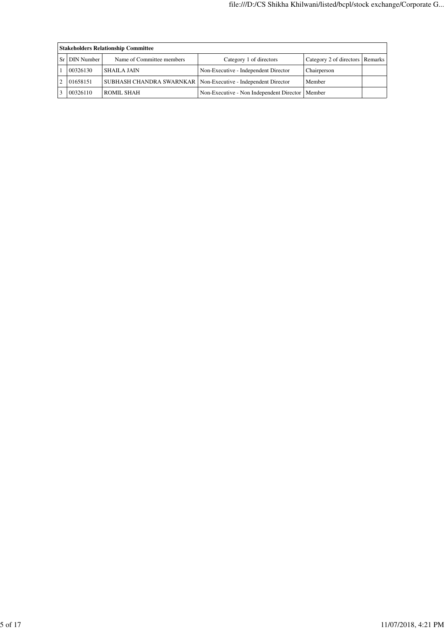| <b>Stakeholders Relationship Committee</b> |                                                                 |                                          |                                   |  |  |  |  |  |  |  |
|--------------------------------------------|-----------------------------------------------------------------|------------------------------------------|-----------------------------------|--|--|--|--|--|--|--|
| Sr   DIN Number                            | Name of Committee members                                       | Category 1 of directors                  | Category 2 of directors   Remarks |  |  |  |  |  |  |  |
| 00326130                                   | <b>SHAILA JAIN</b>                                              | Non-Executive - Independent Director     | Chairperson                       |  |  |  |  |  |  |  |
| 01658151                                   | SUBHASH CHANDRA SWARNKAR   Non-Executive - Independent Director |                                          | Member                            |  |  |  |  |  |  |  |
| 00326110                                   | ROMIL SHAH                                                      | Non-Executive - Non Independent Director | Member                            |  |  |  |  |  |  |  |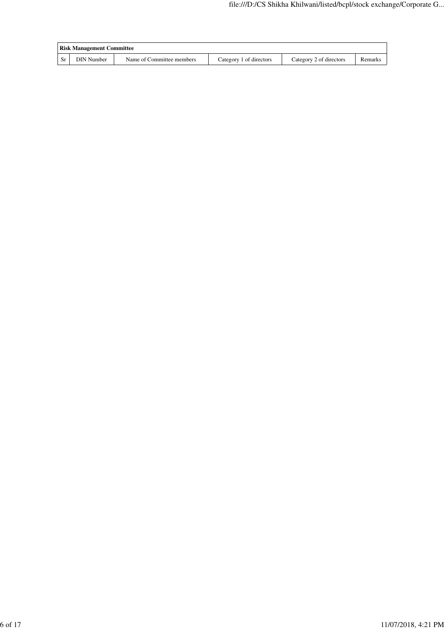|     | <b>Risk Management Committee</b> |                           |                         |                         |         |
|-----|----------------------------------|---------------------------|-------------------------|-------------------------|---------|
| -Sr | <b>DIN Number</b>                | Name of Committee members | Category 1 of directors | Category 2 of directors | Remarks |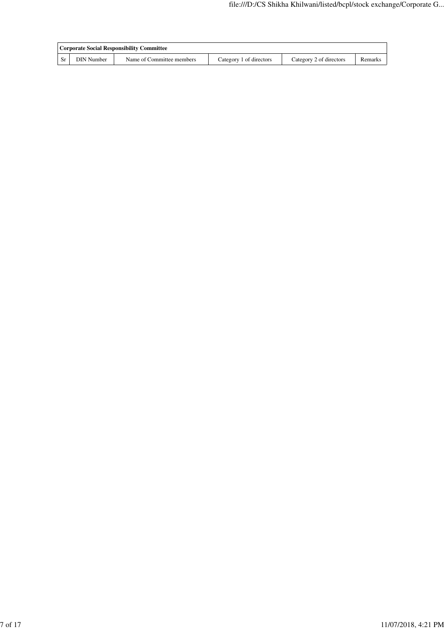|                   | Corporate Social Responsibility Committee |                         |                         |         |
|-------------------|-------------------------------------------|-------------------------|-------------------------|---------|
| <b>DIN</b> Number | Name of Committee members                 | Category 1 of directors | Category 2 of directors | Remarks |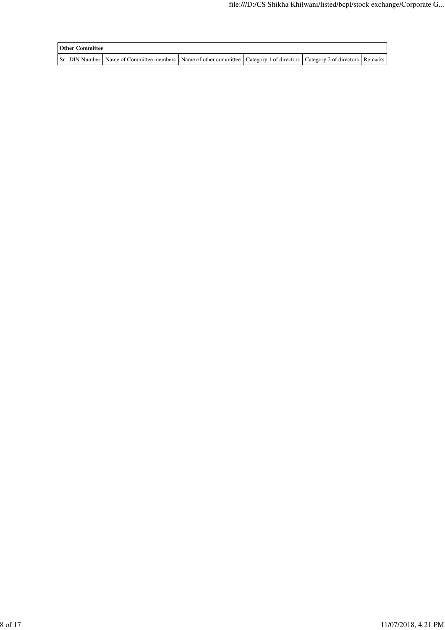| <b>Other Committee</b> |                                                                                                                                     |  |  |
|------------------------|-------------------------------------------------------------------------------------------------------------------------------------|--|--|
|                        | Sr   DIN Number   Name of Committee members   Name of other committee   Category 1 of directors   Category 2 of directors   Remarks |  |  |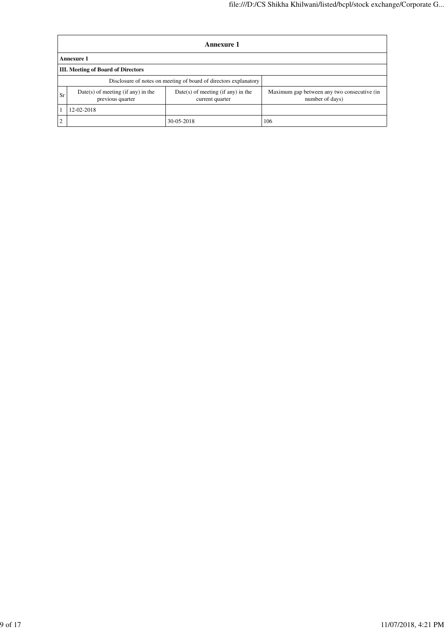|    | Annexure 1                                               |                                                                  |                                                                |  |  |  |  |
|----|----------------------------------------------------------|------------------------------------------------------------------|----------------------------------------------------------------|--|--|--|--|
|    | <b>Annexure 1</b>                                        |                                                                  |                                                                |  |  |  |  |
|    | <b>III.</b> Meeting of Board of Directors                |                                                                  |                                                                |  |  |  |  |
|    |                                                          | Disclosure of notes on meeting of board of directors explanatory |                                                                |  |  |  |  |
| Sr | $Date(s)$ of meeting (if any) in the<br>previous quarter | $Date(s)$ of meeting (if any) in the<br>current quarter          | Maximum gap between any two consecutive (in<br>number of days) |  |  |  |  |
|    | 12-02-2018                                               |                                                                  |                                                                |  |  |  |  |
| ◠  |                                                          | 106                                                              |                                                                |  |  |  |  |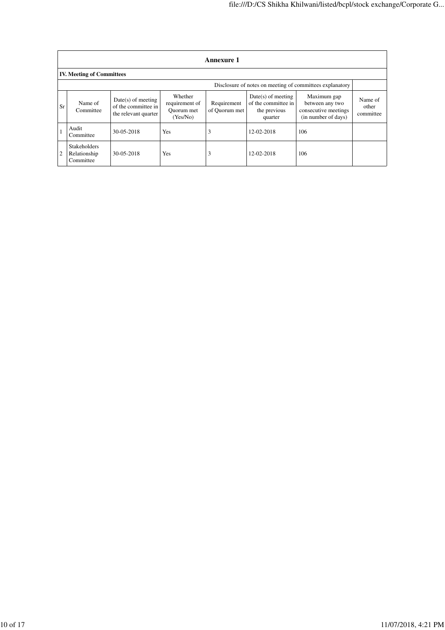|    | <b>Annexure 1</b>                                |                                                                     |                                                     |                              |                                                                        |                                                                               |                               |  |
|----|--------------------------------------------------|---------------------------------------------------------------------|-----------------------------------------------------|------------------------------|------------------------------------------------------------------------|-------------------------------------------------------------------------------|-------------------------------|--|
|    | <b>IV. Meeting of Committees</b>                 |                                                                     |                                                     |                              |                                                                        |                                                                               |                               |  |
|    |                                                  |                                                                     |                                                     |                              |                                                                        | Disclosure of notes on meeting of committees explanatory                      |                               |  |
| Sr | Name of<br>Committee                             | $Date(s)$ of meeting<br>of the committee in<br>the relevant quarter | Whether<br>requirement of<br>Ouorum met<br>(Yes/No) | Requirement<br>of Quorum met | $Date(s)$ of meeting<br>of the committee in<br>the previous<br>quarter | Maximum gap<br>between any two<br>consecutive meetings<br>(in number of days) | Name of<br>other<br>committee |  |
|    | Audit<br>Committee                               | 30-05-2018                                                          | Yes                                                 | 3                            | 12-02-2018                                                             | 106                                                                           |                               |  |
| 2  | <b>Stakeholders</b><br>Relationship<br>Committee | 30-05-2018                                                          | Yes                                                 | 3                            | 12-02-2018                                                             | 106                                                                           |                               |  |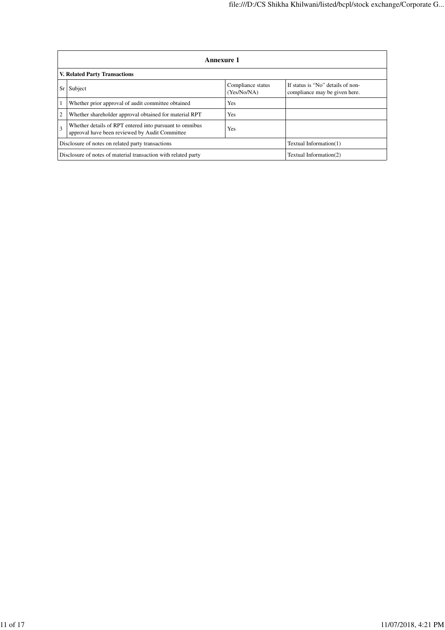|                | <b>Annexure 1</b>                                                                                         |                                                                    |                        |  |  |  |  |  |
|----------------|-----------------------------------------------------------------------------------------------------------|--------------------------------------------------------------------|------------------------|--|--|--|--|--|
|                | V. Related Party Transactions                                                                             |                                                                    |                        |  |  |  |  |  |
| Sr             | Subject                                                                                                   | If status is "No" details of non-<br>compliance may be given here. |                        |  |  |  |  |  |
|                | Whether prior approval of audit committee obtained                                                        | Yes                                                                |                        |  |  |  |  |  |
| $\overline{2}$ | Whether shareholder approval obtained for material RPT                                                    | Yes                                                                |                        |  |  |  |  |  |
| 3              | Whether details of RPT entered into pursuant to omnibus<br>approval have been reviewed by Audit Committee |                                                                    |                        |  |  |  |  |  |
|                | Disclosure of notes on related party transactions<br>Textual Information(1)                               |                                                                    |                        |  |  |  |  |  |
|                | Disclosure of notes of material transaction with related party                                            |                                                                    | Textual Information(2) |  |  |  |  |  |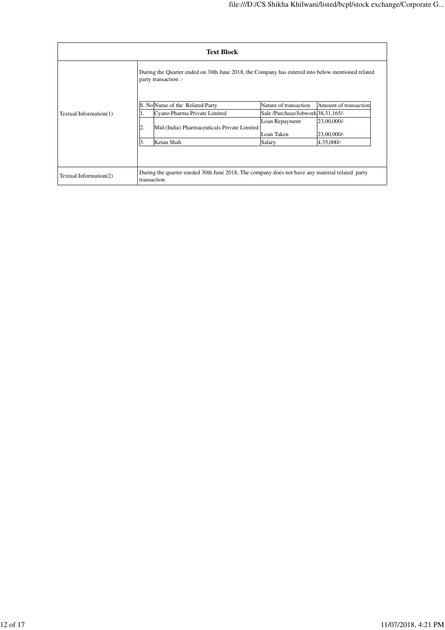|                        | <b>Text Block</b>                                                                                              |                                                                                                                          |                                      |                            |  |  |  |
|------------------------|----------------------------------------------------------------------------------------------------------------|--------------------------------------------------------------------------------------------------------------------------|--------------------------------------|----------------------------|--|--|--|
|                        |                                                                                                                | During the Quarter ended on 30th June 2018, the Company has entered into below mentioned related<br>party transaction :- |                                      |                            |  |  |  |
|                        | S. No Name of the Related Party                                                                                |                                                                                                                          | Nature of transaction                | Amount of transaction      |  |  |  |
| Textual Information(1) | 1.                                                                                                             | Cyano Pharma Private Limited                                                                                             | Sale /Purchase/Jobwork 38, 31, 165/- |                            |  |  |  |
|                        | 2.                                                                                                             | Mid (India) Pharmaceuticals Private Limited                                                                              | Loan Repayment<br>Loan Taken         | 23,00,000/-<br>23,00,000/- |  |  |  |
|                        | 3.                                                                                                             | Ketan Shah                                                                                                               | Salary                               | 4,35,000/-                 |  |  |  |
|                        |                                                                                                                |                                                                                                                          |                                      |                            |  |  |  |
| Textual Information(2) | During the quarter eneded 30th June 2018, The company does not have any material related party<br>transaction. |                                                                                                                          |                                      |                            |  |  |  |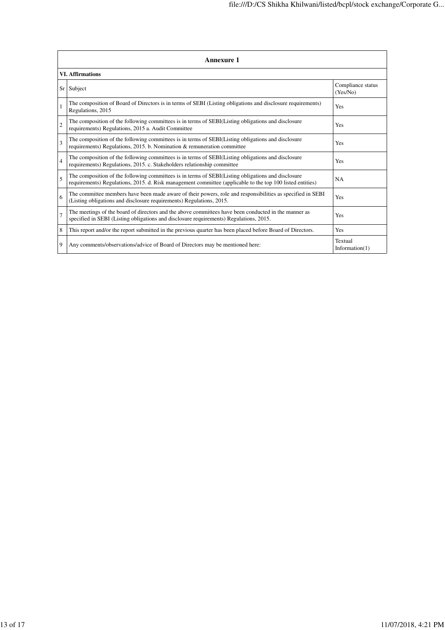| <b>Annexure 1</b>       |                                                                                                                                                                                                                 |                               |  |  |
|-------------------------|-----------------------------------------------------------------------------------------------------------------------------------------------------------------------------------------------------------------|-------------------------------|--|--|
| <b>VI. Affirmations</b> |                                                                                                                                                                                                                 |                               |  |  |
| Sr <sub>1</sub>         | Subject                                                                                                                                                                                                         | Compliance status<br>(Yes/No) |  |  |
|                         | The composition of Board of Directors is in terms of SEBI (Listing obligations and disclosure requirements)<br>Regulations, 2015                                                                                | Yes                           |  |  |
| $\overline{2}$          | The composition of the following committees is in terms of SEBI(Listing obligations and disclosure<br>requirements) Regulations, 2015 a. Audit Committee                                                        | Yes                           |  |  |
| 3                       | The composition of the following committees is in terms of SEBI(Listing obligations and disclosure<br>requirements) Regulations, 2015. b. Nomination & remuneration committee                                   | Yes                           |  |  |
| $\overline{4}$          | The composition of the following committees is in terms of SEBI(Listing obligations and disclosure<br>requirements) Regulations, 2015. c. Stakeholders relationship committee                                   | Yes                           |  |  |
| 5                       | The composition of the following committees is in terms of SEBI(Listing obligations and disclosure<br>requirements) Regulations, 2015. d. Risk management committee (applicable to the top 100 listed entities) | NA                            |  |  |
| 6                       | The committee members have been made aware of their powers, role and responsibilities as specified in SEBI<br>(Listing obligations and disclosure requirements) Regulations, 2015.                              | Yes                           |  |  |
| $\tau$                  | The meetings of the board of directors and the above committees have been conducted in the manner as<br>specified in SEBI (Listing obligations and disclosure requirements) Regulations, 2015.                  | Yes                           |  |  |
| 8                       | This report and/or the report submitted in the previous quarter has been placed before Board of Directors.                                                                                                      | Yes                           |  |  |
| 9                       | Any comments/observations/advice of Board of Directors may be mentioned here:                                                                                                                                   | Textual<br>Information $(1)$  |  |  |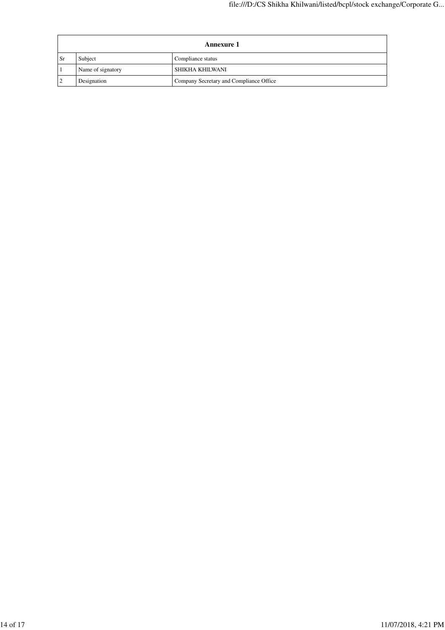| Annexure 1 |                   |                                         |  |
|------------|-------------------|-----------------------------------------|--|
| <b>Sr</b>  | Subject           | Compliance status                       |  |
|            | Name of signatory | SHIKHA KHILWANI                         |  |
|            | Designation       | Company Secretary and Compliance Office |  |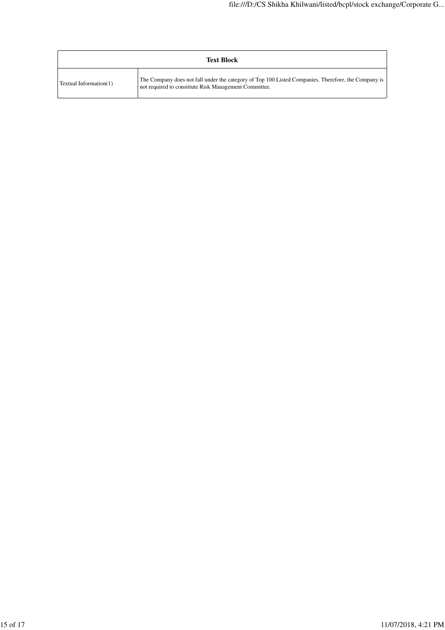| <b>Text Block</b>      |                                                                                                                                                              |  |
|------------------------|--------------------------------------------------------------------------------------------------------------------------------------------------------------|--|
| Textual Information(1) | The Company does not fall under the category of Top 100 Listed Companies. Therefore, the Company is<br>not required to constitute Risk Management Committee. |  |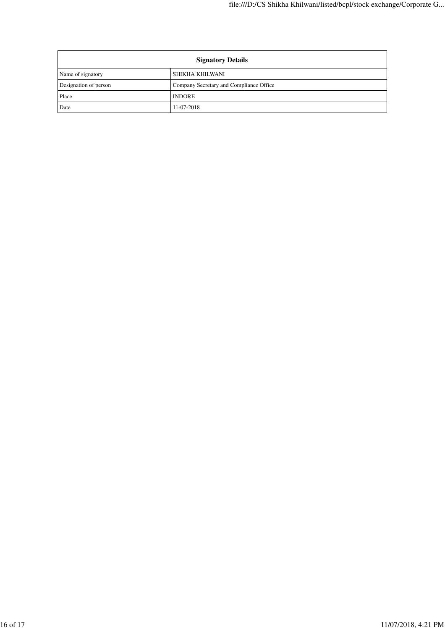| <b>Signatory Details</b> |                                         |  |
|--------------------------|-----------------------------------------|--|
| Name of signatory        | SHIKHA KHILWANI                         |  |
| Designation of person    | Company Secretary and Compliance Office |  |
| Place                    | <b>INDORE</b>                           |  |
| Date                     | 11-07-2018                              |  |